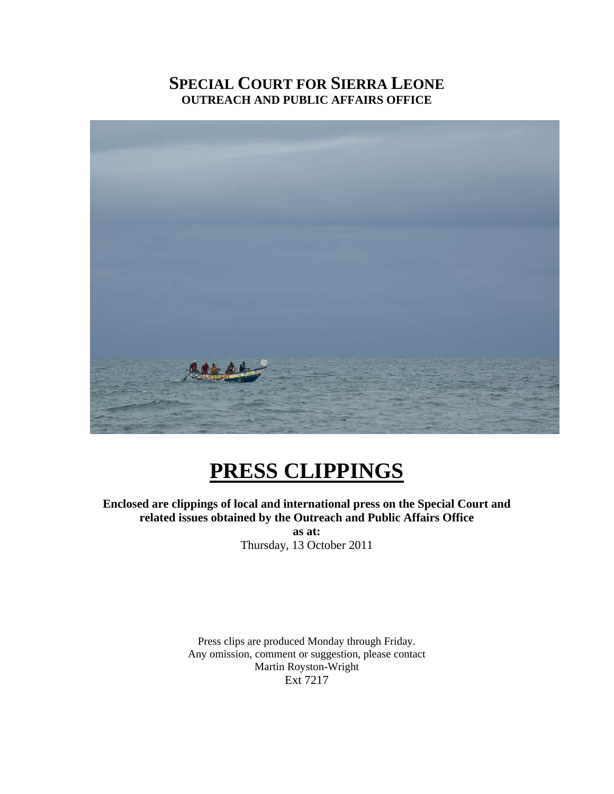# **SPECIAL COURT FOR SIERRA LEONE OUTREACH AND PUBLIC AFFAIRS OFFICE**



# **PRESS CLIPPINGS**

**Enclosed are clippings of local and international press on the Special Court and related issues obtained by the Outreach and Public Affairs Office** 

**as at:**  Thursday, 13 October 2011

Press clips are produced Monday through Friday. Any omission, comment or suggestion, please contact Martin Royston-Wright Ext 7217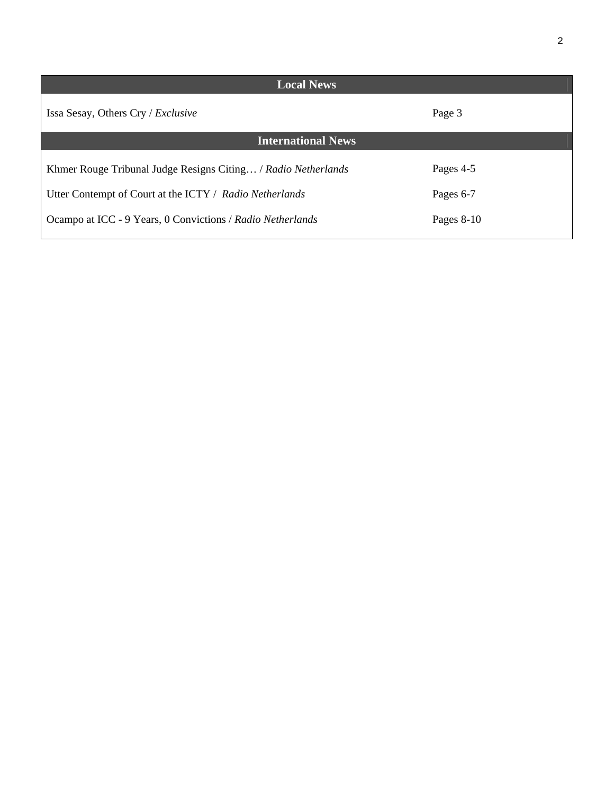| <b>Local News</b>                                             |              |
|---------------------------------------------------------------|--------------|
| Issa Sesay, Others Cry / Exclusive                            | Page 3       |
| <b>International News</b>                                     |              |
| Khmer Rouge Tribunal Judge Resigns Citing / Radio Netherlands | Pages 4-5    |
| Utter Contempt of Court at the ICTY / Radio Netherlands       | Pages 6-7    |
| Ocampo at ICC - 9 Years, 0 Convictions / Radio Netherlands    | Pages $8-10$ |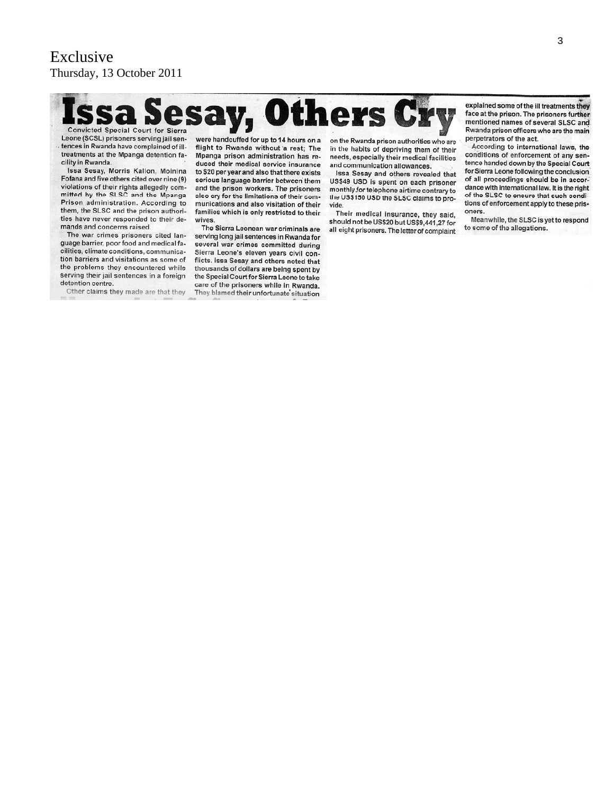esay, Others Cr Convicted Special Court for Sierra

Leone (SCSL) prisoners serving jail sentences in Rwanda have complained of illtreatments at the Mpanga detention facility in Rwanda.

Issa Sesay, Morris Kallon, Moinina Fofana and five others cited over nine (9) violations of their rights allegedly com-<br>mitted by the SLSC and the Mpanga Prison administration. According to them, the SLSC and the prison authorities have never responded to their demands and concerns raised.

The war crimes prisoners cited language barrier, poor food and medical facilities, climate conditions, communication barriers and visitations as some of the problems they encountered while serving their jail sentences in a foreign detention centre.

Other claims they made are that they

were handcuffed for up to 14 hours on a flight to Rwanda without a rest; The Mpanga prison administration has reduced their medical service insurance to \$20 per year and also that there exists serious language barrier between them and the prison workers. The prisoners also cry for the limitations of their communications and also visitation of their families which is only restricted to their wives.

The Sierra Leonean war criminals are serving long jail sentences in Rwanda for several war crimes committed during Sierra Leone's eleven years civil conflicts. Issa Sesay and others noted that thousands of dollars are being spent by the Special Court for Sierra Leone to take care of the prisoners while in Rwanda. They blamed their unfortunate situation

on the Rwanda prison authorities who are in the habits of depriving them of their needs, especially their medical facilities and communication allowances.

Issa Sesay and others revealed that US\$49 USD is spent on each prisoner monthly for telephone airtime contrary to the US\$150 USD the SLSC claims to provide.

Their medical insurance, they said, should not be US\$20 but US\$9,441,27 for all eight prisoners. The letter of complaint

explained some of the ill treatments they face at the prison. The prisoners further mentioned names of several SLSC and Rwanda prison officers who are the main perpetrators of the act.

According to international laws, the conditions of enforcement of any sentence handed down by the Special Court for Sierra Leone following the conclusion of all proceedings should be in accordance with international law. It is the right of the SLSC to ensure that such conditions of enforcement apply to these prisoners.

Meanwhile, the SLSC is yet to respond to some of the allegations.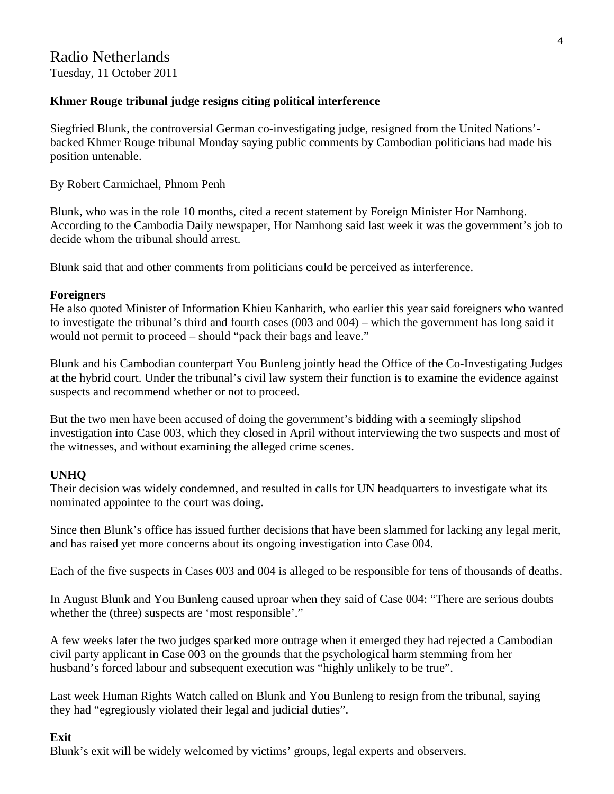# **Khmer Rouge tribunal judge resigns citing political interference**

Siegfried Blunk, the controversial German co-investigating judge, resigned from the United Nations' backed Khmer Rouge tribunal Monday saying public comments by Cambodian politicians had made his position untenable.

# By Robert Carmichael, Phnom Penh

Blunk, who was in the role 10 months, cited a recent statement by Foreign Minister Hor Namhong. According to the Cambodia Daily newspaper, Hor Namhong said last week it was the government's job to decide whom the tribunal should arrest.

Blunk said that and other comments from politicians could be perceived as interference.

# **Foreigners**

He also quoted Minister of Information Khieu Kanharith, who earlier this year said foreigners who wanted to investigate the tribunal's third and fourth cases (003 and 004) – which the government has long said it would not permit to proceed – should "pack their bags and leave."

Blunk and his Cambodian counterpart You Bunleng jointly head the Office of the Co-Investigating Judges at the hybrid court. Under the tribunal's civil law system their function is to examine the evidence against suspects and recommend whether or not to proceed.

But the two men have been accused of doing the government's bidding with a seemingly slipshod investigation into Case 003, which they closed in April without interviewing the two suspects and most of the witnesses, and without examining the alleged crime scenes.

# **UNHQ**

Their decision was widely condemned, and resulted in calls for UN headquarters to investigate what its nominated appointee to the court was doing.

Since then Blunk's office has issued further decisions that have been slammed for lacking any legal merit, and has raised yet more concerns about its ongoing investigation into Case 004.

Each of the five suspects in Cases 003 and 004 is alleged to be responsible for tens of thousands of deaths.

In August Blunk and You Bunleng caused uproar when they said of Case 004: "There are serious doubts whether the (three) suspects are 'most responsible'."

A few weeks later the two judges sparked more outrage when it emerged they had rejected a Cambodian civil party applicant in Case 003 on the grounds that the psychological harm stemming from her husband's forced labour and subsequent execution was "highly unlikely to be true".

Last week Human Rights Watch called on Blunk and You Bunleng to resign from the tribunal, saying they had "egregiously violated their legal and judicial duties".

# **Exit**

Blunk's exit will be widely welcomed by victims' groups, legal experts and observers.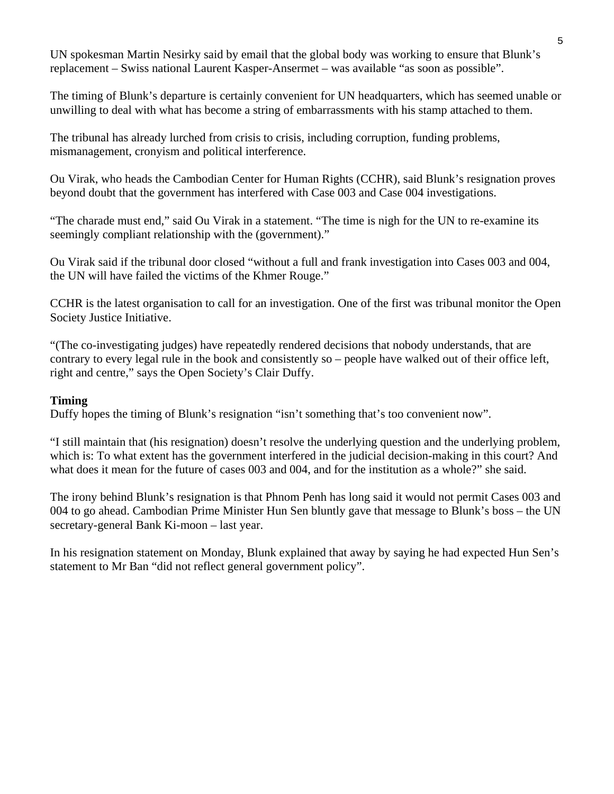UN spokesman Martin Nesirky said by email that the global body was working to ensure that Blunk's replacement – Swiss national Laurent Kasper-Ansermet – was available "as soon as possible".

The timing of Blunk's departure is certainly convenient for UN headquarters, which has seemed unable or unwilling to deal with what has become a string of embarrassments with his stamp attached to them.

The tribunal has already lurched from crisis to crisis, including corruption, funding problems, mismanagement, cronyism and political interference.

Ou Virak, who heads the Cambodian Center for Human Rights (CCHR), said Blunk's resignation proves beyond doubt that the government has interfered with Case 003 and Case 004 investigations.

"The charade must end," said Ou Virak in a statement. "The time is nigh for the UN to re-examine its seemingly compliant relationship with the (government)."

Ou Virak said if the tribunal door closed "without a full and frank investigation into Cases 003 and 004, the UN will have failed the victims of the Khmer Rouge."

CCHR is the latest organisation to call for an investigation. One of the first was tribunal monitor the Open Society Justice Initiative.

"(The co-investigating judges) have repeatedly rendered decisions that nobody understands, that are contrary to every legal rule in the book and consistently so – people have walked out of their office left, right and centre," says the Open Society's Clair Duffy.

#### **Timing**

Duffy hopes the timing of Blunk's resignation "isn't something that's too convenient now".

"I still maintain that (his resignation) doesn't resolve the underlying question and the underlying problem, which is: To what extent has the government interfered in the judicial decision-making in this court? And what does it mean for the future of cases 003 and 004, and for the institution as a whole?" she said.

The irony behind Blunk's resignation is that Phnom Penh has long said it would not permit Cases 003 and 004 to go ahead. Cambodian Prime Minister Hun Sen bluntly gave that message to Blunk's boss – the UN secretary-general Bank Ki-moon – last year.

In his resignation statement on Monday, Blunk explained that away by saying he had expected Hun Sen's statement to Mr Ban "did not reflect general government policy".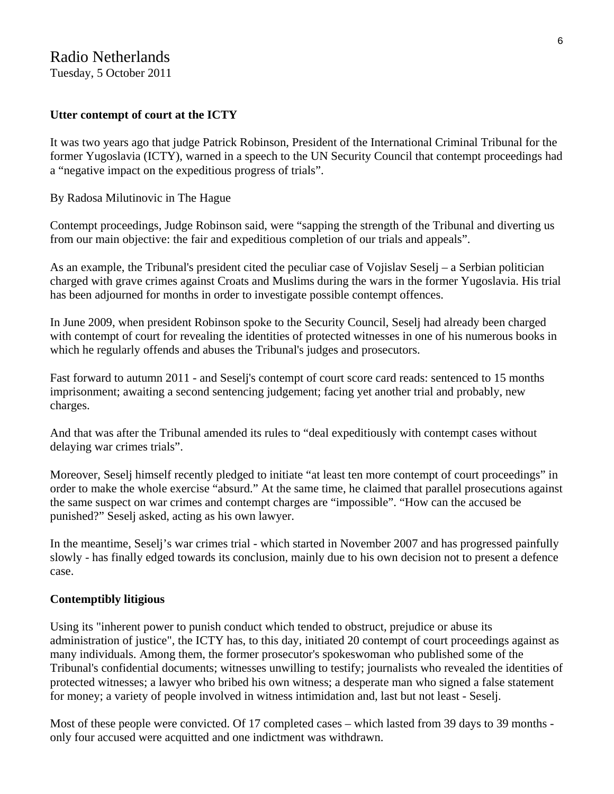### **Utter contempt of court at the ICTY**

It was two years ago that judge Patrick Robinson, President of the International Criminal Tribunal for the former Yugoslavia (ICTY), warned in a speech to the UN Security Council that contempt proceedings had a "negative impact on the expeditious progress of trials".

By Radosa Milutinovic in The Hague

Contempt proceedings, Judge Robinson said, were "sapping the strength of the Tribunal and diverting us from our main objective: the fair and expeditious completion of our trials and appeals".

As an example, the Tribunal's president cited the peculiar case of Vojislav Seselj – a Serbian politician charged with grave crimes against Croats and Muslims during the wars in the former Yugoslavia. His trial has been adjourned for months in order to investigate possible contempt offences.

In June 2009, when president Robinson spoke to the Security Council, Seselj had already been charged with contempt of court for revealing the identities of protected witnesses in one of his numerous books in which he regularly offends and abuses the Tribunal's judges and prosecutors.

Fast forward to autumn 2011 - and Seselj's contempt of court score card reads: sentenced to 15 months imprisonment; awaiting a second sentencing judgement; facing yet another trial and probably, new charges.

And that was after the Tribunal amended its rules to "deal expeditiously with contempt cases without delaying war crimes trials".

Moreover, Seselj himself recently pledged to initiate "at least ten more contempt of court proceedings" in order to make the whole exercise "absurd." At the same time, he claimed that parallel prosecutions against the same suspect on war crimes and contempt charges are "impossible". "How can the accused be punished?" Seselj asked, acting as his own lawyer.

In the meantime, Seselj's war crimes trial - which started in November 2007 and has progressed painfully slowly - has finally edged towards its conclusion, mainly due to his own decision not to present a defence case.

#### **Contemptibly litigious**

Using its "inherent power to punish conduct which tended to obstruct, prejudice or abuse its administration of justice", the ICTY has, to this day, initiated 20 contempt of court proceedings against as many individuals. Among them, the former prosecutor's spokeswoman who published some of the Tribunal's confidential documents; witnesses unwilling to testify; journalists who revealed the identities of protected witnesses; a lawyer who bribed his own witness; a desperate man who signed a false statement for money; a variety of people involved in witness intimidation and, last but not least - Seselj.

Most of these people were convicted. Of 17 completed cases – which lasted from 39 days to 39 months only four accused were acquitted and one indictment was withdrawn.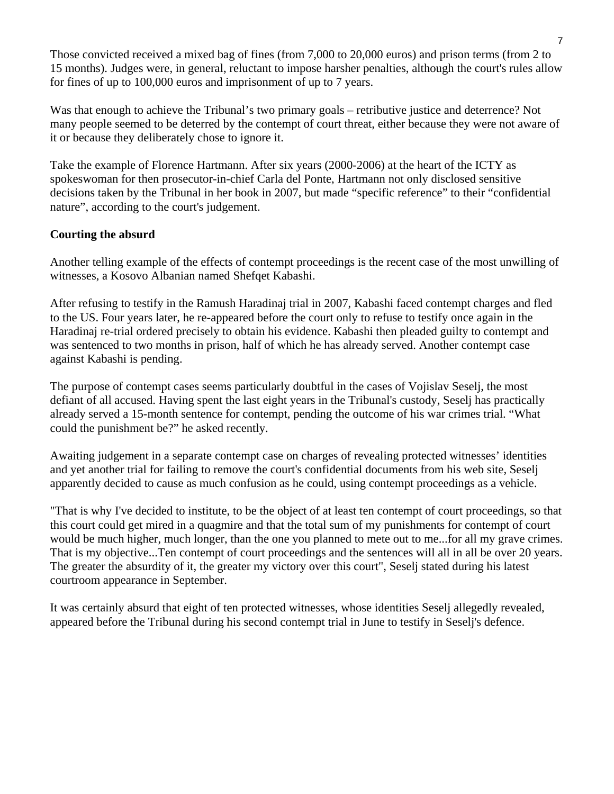Those convicted received a mixed bag of fines (from 7,000 to 20,000 euros) and prison terms (from 2 to 15 months). Judges were, in general, reluctant to impose harsher penalties, although the court's rules allow for fines of up to 100,000 euros and imprisonment of up to 7 years.

Was that enough to achieve the Tribunal's two primary goals – retributive justice and deterrence? Not many people seemed to be deterred by the contempt of court threat, either because they were not aware of it or because they deliberately chose to ignore it.

Take the example of Florence Hartmann. After six years (2000-2006) at the heart of the ICTY as spokeswoman for then prosecutor-in-chief Carla del Ponte, Hartmann not only disclosed sensitive decisions taken by the Tribunal in her book in 2007, but made "specific reference" to their "confidential nature", according to the court's judgement.

# **Courting the absurd**

Another telling example of the effects of contempt proceedings is the recent case of the most unwilling of witnesses, a Kosovo Albanian named Shefqet Kabashi.

After refusing to testify in the Ramush Haradinaj trial in 2007, Kabashi faced contempt charges and fled to the US. Four years later, he re-appeared before the court only to refuse to testify once again in the Haradinaj re-trial ordered precisely to obtain his evidence. Kabashi then pleaded guilty to contempt and was sentenced to two months in prison, half of which he has already served. Another contempt case against Kabashi is pending.

The purpose of contempt cases seems particularly doubtful in the cases of Vojislav Seselj, the most defiant of all accused. Having spent the last eight years in the Tribunal's custody, Seselj has practically already served a 15-month sentence for contempt, pending the outcome of his war crimes trial. "What could the punishment be?" he asked recently.

Awaiting judgement in a separate contempt case on charges of revealing protected witnesses' identities and yet another trial for failing to remove the court's confidential documents from his web site, Seselj apparently decided to cause as much confusion as he could, using contempt proceedings as a vehicle.

"That is why I've decided to institute, to be the object of at least ten contempt of court proceedings, so that this court could get mired in a quagmire and that the total sum of my punishments for contempt of court would be much higher, much longer, than the one you planned to mete out to me...for all my grave crimes. That is my objective...Ten contempt of court proceedings and the sentences will all in all be over 20 years. The greater the absurdity of it, the greater my victory over this court", Seselj stated during his latest courtroom appearance in September.

It was certainly absurd that eight of ten protected witnesses, whose identities Seselj allegedly revealed, appeared before the Tribunal during his second contempt trial in June to testify in Seselj's defence.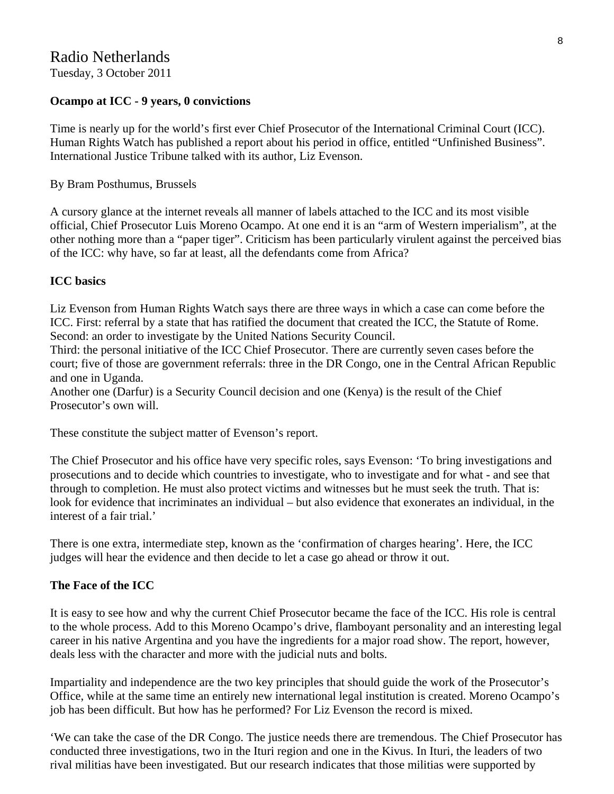# **Ocampo at ICC - 9 years, 0 convictions**

Time is nearly up for the world's first ever Chief Prosecutor of the International Criminal Court (ICC). Human Rights Watch has published a report about his period in office, entitled "Unfinished Business". International Justice Tribune talked with its author, Liz Evenson.

By Bram Posthumus, Brussels

A cursory glance at the internet reveals all manner of labels attached to the ICC and its most visible official, Chief Prosecutor Luis Moreno Ocampo. At one end it is an "arm of Western imperialism", at the other nothing more than a "paper tiger". Criticism has been particularly virulent against the perceived bias of the ICC: why have, so far at least, all the defendants come from Africa?

# **ICC basics**

Liz Evenson from Human Rights Watch says there are three ways in which a case can come before the ICC. First: referral by a state that has ratified the document that created the ICC, the Statute of Rome. Second: an order to investigate by the United Nations Security Council.

Third: the personal initiative of the ICC Chief Prosecutor. There are currently seven cases before the court; five of those are government referrals: three in the DR Congo, one in the Central African Republic and one in Uganda.

Another one (Darfur) is a Security Council decision and one (Kenya) is the result of the Chief Prosecutor's own will.

These constitute the subject matter of Evenson's report.

The Chief Prosecutor and his office have very specific roles, says Evenson: 'To bring investigations and prosecutions and to decide which countries to investigate, who to investigate and for what - and see that through to completion. He must also protect victims and witnesses but he must seek the truth. That is: look for evidence that incriminates an individual – but also evidence that exonerates an individual, in the interest of a fair trial.'

There is one extra, intermediate step, known as the 'confirmation of charges hearing'. Here, the ICC judges will hear the evidence and then decide to let a case go ahead or throw it out.

# **The Face of the ICC**

It is easy to see how and why the current Chief Prosecutor became the face of the ICC. His role is central to the whole process. Add to this Moreno Ocampo's drive, flamboyant personality and an interesting legal career in his native Argentina and you have the ingredients for a major road show. The report, however, deals less with the character and more with the judicial nuts and bolts.

Impartiality and independence are the two key principles that should guide the work of the Prosecutor's Office, while at the same time an entirely new international legal institution is created. Moreno Ocampo's job has been difficult. But how has he performed? For Liz Evenson the record is mixed.

'We can take the case of the DR Congo. The justice needs there are tremendous. The Chief Prosecutor has conducted three investigations, two in the Ituri region and one in the Kivus. In Ituri, the leaders of two rival militias have been investigated. But our research indicates that those militias were supported by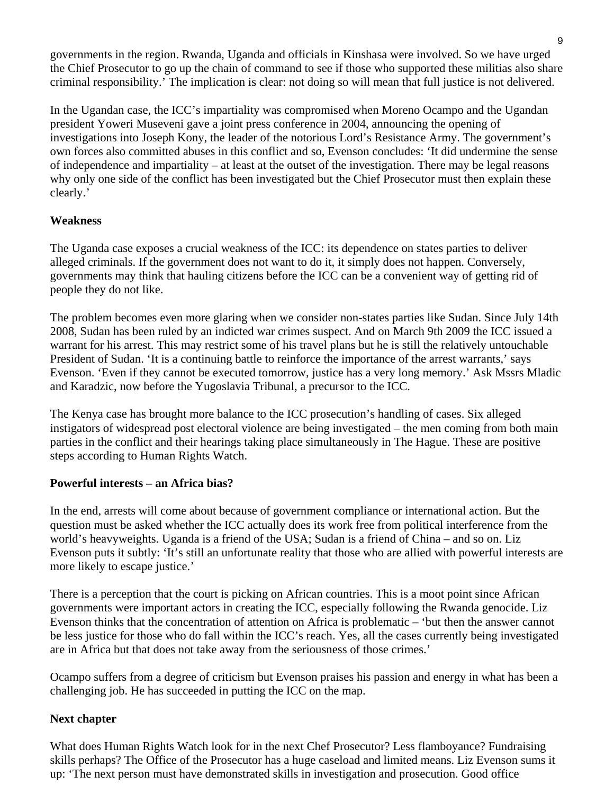governments in the region. Rwanda, Uganda and officials in Kinshasa were involved. So we have urged the Chief Prosecutor to go up the chain of command to see if those who supported these militias also share criminal responsibility.' The implication is clear: not doing so will mean that full justice is not delivered.

In the Ugandan case, the ICC's impartiality was compromised when Moreno Ocampo and the Ugandan president Yoweri Museveni gave a joint press conference in 2004, announcing the opening of investigations into Joseph Kony, the leader of the notorious Lord's Resistance Army. The government's own forces also committed abuses in this conflict and so, Evenson concludes: 'It did undermine the sense of independence and impartiality – at least at the outset of the investigation. There may be legal reasons why only one side of the conflict has been investigated but the Chief Prosecutor must then explain these clearly.'

# **Weakness**

The Uganda case exposes a crucial weakness of the ICC: its dependence on states parties to deliver alleged criminals. If the government does not want to do it, it simply does not happen. Conversely, governments may think that hauling citizens before the ICC can be a convenient way of getting rid of people they do not like.

The problem becomes even more glaring when we consider non-states parties like Sudan. Since July 14th 2008, Sudan has been ruled by an indicted war crimes suspect. And on March 9th 2009 the ICC issued a warrant for his arrest. This may restrict some of his travel plans but he is still the relatively untouchable President of Sudan. 'It is a continuing battle to reinforce the importance of the arrest warrants,' says Evenson. 'Even if they cannot be executed tomorrow, justice has a very long memory.' Ask Mssrs Mladic and Karadzic, now before the Yugoslavia Tribunal, a precursor to the ICC.

The Kenya case has brought more balance to the ICC prosecution's handling of cases. Six alleged instigators of widespread post electoral violence are being investigated – the men coming from both main parties in the conflict and their hearings taking place simultaneously in The Hague. These are positive steps according to Human Rights Watch.

# **Powerful interests – an Africa bias?**

In the end, arrests will come about because of government compliance or international action. But the question must be asked whether the ICC actually does its work free from political interference from the world's heavyweights. Uganda is a friend of the USA; Sudan is a friend of China – and so on. Liz Evenson puts it subtly: 'It's still an unfortunate reality that those who are allied with powerful interests are more likely to escape justice.'

There is a perception that the court is picking on African countries. This is a moot point since African governments were important actors in creating the ICC, especially following the Rwanda genocide. Liz Evenson thinks that the concentration of attention on Africa is problematic – 'but then the answer cannot be less justice for those who do fall within the ICC's reach. Yes, all the cases currently being investigated are in Africa but that does not take away from the seriousness of those crimes.'

Ocampo suffers from a degree of criticism but Evenson praises his passion and energy in what has been a challenging job. He has succeeded in putting the ICC on the map.

# **Next chapter**

What does Human Rights Watch look for in the next Chef Prosecutor? Less flamboyance? Fundraising skills perhaps? The Office of the Prosecutor has a huge caseload and limited means. Liz Evenson sums it up: 'The next person must have demonstrated skills in investigation and prosecution. Good office